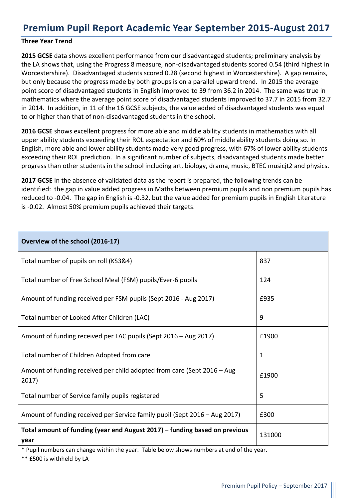## **Premium Pupil Report Academic Year September 2015-August 2017**

#### **Three Year Trend**

**2015 GCSE** data shows excellent performance from our disadvantaged students; preliminary analysis by the LA shows that, using the Progress 8 measure, non-disadvantaged students scored 0.54 (third highest in Worcestershire). Disadvantaged students scored 0.28 (second highest in Worcestershire). A gap remains, but only because the progress made by both groups is on a parallel upward trend. In 2015 the average point score of disadvantaged students in English improved to 39 from 36.2 in 2014. The same was true in mathematics where the average point score of disadvantaged students improved to 37.7 in 2015 from 32.7 in 2014. In addition, in 11 of the 16 GCSE subjects, the value added of disadvantaged students was equal to or higher than that of non-disadvantaged students in the school.

**2016 GCSE** shows excellent progress for more able and middle ability students in mathematics with all upper ability students exceeding their ROL expectation and 60% of middle ability students doing so. In English, more able and lower ability students made very good progress, with 67% of lower ability students exceeding their ROL prediction. In a significant number of subjects, disadvantaged students made better progress than other students in the school including art, biology, drama, music, BTEC musicjt2 and physics.

**2017 GCSE** In the absence of validated data as the report is prepared, the following trends can be identified: the gap in value added progress in Maths between premium pupils and non premium pupils has reduced to -0.04. The gap in English is -0.32, but the value added for premium pupils in English Literature is -0.02. Almost 50% premium pupils achieved their targets.

| Overview of the school (2016-17)                                                   |        |
|------------------------------------------------------------------------------------|--------|
| Total number of pupils on roll (KS3&4)                                             | 837    |
| Total number of Free School Meal (FSM) pupils/Ever-6 pupils                        | 124    |
| Amount of funding received per FSM pupils (Sept 2016 - Aug 2017)                   | £935   |
| Total number of Looked After Children (LAC)                                        | 9      |
| Amount of funding received per LAC pupils (Sept 2016 – Aug 2017)                   | £1900  |
| Total number of Children Adopted from care                                         | 1      |
| Amount of funding received per child adopted from care (Sept 2016 – Aug<br>2017)   | £1900  |
| Total number of Service family pupils registered                                   | 5      |
| Amount of funding received per Service family pupil (Sept 2016 - Aug 2017)         | £300   |
| Total amount of funding (year end August 2017) – funding based on previous<br>year | 131000 |

\* Pupil numbers can change within the year. Table below shows numbers at end of the year.

\*\* £500 is withheld by LA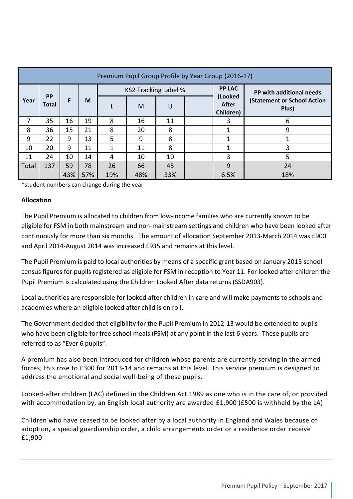| Premium Pupil Group Profile by Year Group (2016-17) |                                       |     |     |     |     |     |  |                               |                                             |
|-----------------------------------------------------|---------------------------------------|-----|-----|-----|-----|-----|--|-------------------------------|---------------------------------------------|
|                                                     | <b>PP LAC</b><br>KS2 Tracking Label % |     |     |     |     |     |  |                               | PP with additional needs                    |
| Year                                                | <b>PP</b><br><b>Total</b>             | F   | M   |     | M   | U   |  | (Looked<br>After<br>Children) | <b>(Statement or School Action</b><br>Plus) |
| 7                                                   | 35                                    | 16  | 19  | 8   | 16  | 11  |  | 3                             | 6                                           |
| 8                                                   | 36                                    | 15  | 21  | 8   | 20  | 8   |  | 1                             | 9                                           |
| 9                                                   | 22                                    | 9   | 13  | 5   | 9   | 8   |  | 1                             |                                             |
| 10                                                  | 20                                    | 9   | 11  | 1   | 11  | 8   |  | 1                             | 3                                           |
| 11                                                  | 24                                    | 10  | 14  | 4   | 10  | 10  |  | 3                             | 5                                           |
| Total                                               | 137                                   | 59  | 78  | 26  | 66  | 45  |  | 9                             | 24                                          |
|                                                     |                                       | 43% | 57% | 19% | 48% | 33% |  | 6.5%                          | 18%                                         |

\*student numbers can change during the year

### **Allocation**

The Pupil Premium is allocated to children from low-income families who are currently known to be eligible for FSM in both mainstream and non-mainstream settings and children who have been looked after continuously for more than six months. The amount of allocation September 2013-March 2014 was £900 and April 2014-August 2014 was increased £935 and remains at this level.

The Pupil Premium is paid to local authorities by means of a specific grant based on January 2015 school census figures for pupils registered as eligible for FSM in reception to Year 11. For looked after children the Pupil Premium is calculated using the Children Looked After data returns (SSDA903).

Local authorities are responsible for looked after children in care and will make payments to schools and academies where an eligible looked after child is on roll.

The Government decided that eligibility for the Pupil Premium in 2012-13 would be extended to pupils who have been eligible for free school meals (FSM) at any point in the last 6 years. These pupils are referred to as "Ever 6 pupils".

A premium has also been introduced for children whose parents are currently serving in the armed forces; this rose to £300 for 2013-14 and remains at this level. This service premium is designed to address the emotional and social well-being of these pupils.

Looked-after children (LAC) defined in the Children Act 1989 as one who is in the care of, or provided with accommodation by, an English local authority are awarded £1,900 (£500 is withheld by the LA)

Children who have ceased to be looked after by a local authority in England and Wales because of adoption, a special guardianship order, a child arrangements order or a residence order receive £1,900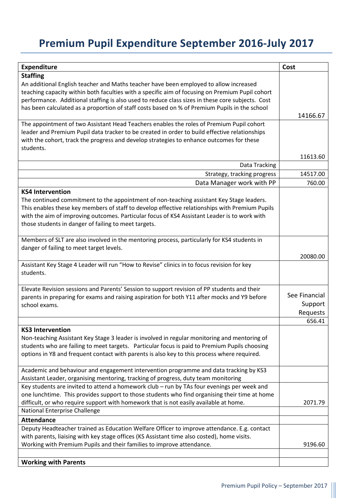# **Premium Pupil Expenditure September 2016-July 2017**

| <b>Expenditure</b>                                                                               | Cost          |
|--------------------------------------------------------------------------------------------------|---------------|
| <b>Staffing</b>                                                                                  |               |
| An additional English teacher and Maths teacher have been employed to allow increased            |               |
| teaching capacity within both faculties with a specific aim of focusing on Premium Pupil cohort  |               |
| performance. Additional staffing is also used to reduce class sizes in these core subjects. Cost |               |
| has been calculated as a proportion of staff costs based on % of Premium Pupils in the school    |               |
|                                                                                                  | 14166.67      |
| The appointment of two Assistant Head Teachers enables the roles of Premium Pupil cohort         |               |
| leader and Premium Pupil data tracker to be created in order to build effective relationships    |               |
| with the cohort, track the progress and develop strategies to enhance outcomes for these         |               |
| students.                                                                                        |               |
|                                                                                                  | 11613.60      |
| Data Tracking                                                                                    |               |
| Strategy, tracking progress                                                                      | 14517.00      |
| Data Manager work with PP                                                                        | 760.00        |
| <b>KS4 Intervention</b>                                                                          |               |
| The continued commitment to the appointment of non-teaching assistant Key Stage leaders.         |               |
| This enables these key members of staff to develop effective relationships with Premium Pupils   |               |
| with the aim of improving outcomes. Particular focus of KS4 Assistant Leader is to work with     |               |
| those students in danger of failing to meet targets.                                             |               |
|                                                                                                  |               |
| Members of SLT are also involved in the mentoring process, particularly for KS4 students in      |               |
| danger of failing to meet target levels.                                                         |               |
|                                                                                                  | 20080.00      |
| Assistant Key Stage 4 Leader will run "How to Revise" clinics in to focus revision for key       |               |
| students.                                                                                        |               |
|                                                                                                  |               |
| Elevate Revision sessions and Parents' Session to support revision of PP students and their      | See Financial |
| parents in preparing for exams and raising aspiration for both Y11 after mocks and Y9 before     |               |
| school exams.                                                                                    | Support       |
|                                                                                                  | Requests      |
|                                                                                                  | 656.41        |
| <b>KS3 Intervention</b>                                                                          |               |
| Non-teaching Assistant Key Stage 3 leader is involved in regular monitoring and mentoring of     |               |
| students who are failing to meet targets.  Particular focus is paid to Premium Pupils choosing   |               |
| options in Y8 and frequent contact with parents is also key to this process where required.      |               |
| Academic and behaviour and engagement intervention programme and data tracking by KS3            |               |
| Assistant Leader, organising mentoring, tracking of progress, duty team monitoring               |               |
| Key students are invited to attend a homework club - run by TAs four evenings per week and       |               |
| one lunchtime. This provides support to those students who find organising their time at home    |               |
| difficult, or who require support with homework that is not easily available at home.            | 2071.79       |
| National Enterprise Challenge                                                                    |               |
| <b>Attendance</b>                                                                                |               |
| Deputy Headteacher trained as Education Welfare Officer to improve attendance. E.g. contact      |               |
| with parents, liaising with key stage offices (KS Assistant time also costed), home visits.      |               |
| Working with Premium Pupils and their families to improve attendance.                            | 9196.60       |
|                                                                                                  |               |
| <b>Working with Parents</b>                                                                      |               |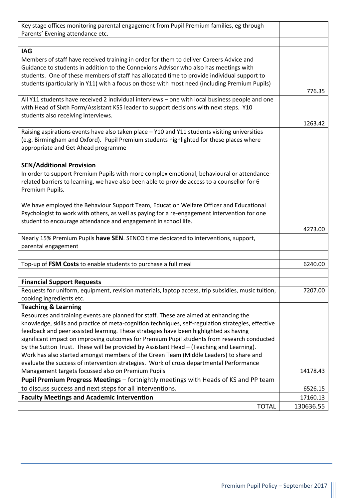| Key stage offices monitoring parental engagement from Pupil Premium families, eg through           |           |
|----------------------------------------------------------------------------------------------------|-----------|
| Parents' Evening attendance etc.                                                                   |           |
|                                                                                                    |           |
| <b>IAG</b>                                                                                         |           |
| Members of staff have received training in order for them to deliver Careers Advice and            |           |
| Guidance to students in addition to the Connexions Advisor who also has meetings with              |           |
| students. One of these members of staff has allocated time to provide individual support to        |           |
| students (particularly in Y11) with a focus on those with most need (including Premium Pupils)     |           |
|                                                                                                    |           |
|                                                                                                    | 776.35    |
| All Y11 students have received 2 individual interviews - one with local business people and one    |           |
| with Head of Sixth Form/Assistant KS5 leader to support decisions with next steps. Y10             |           |
| students also receiving interviews.                                                                |           |
|                                                                                                    | 1263.42   |
| Raising aspirations events have also taken place - Y10 and Y11 students visiting universities      |           |
| (e.g. Birmingham and Oxford). Pupil Premium students highlighted for these places where            |           |
| appropriate and Get Ahead programme                                                                |           |
|                                                                                                    |           |
|                                                                                                    |           |
| <b>SEN/Additional Provision</b>                                                                    |           |
| In order to support Premium Pupils with more complex emotional, behavioural or attendance-         |           |
| related barriers to learning, we have also been able to provide access to a counsellor for 6       |           |
| Premium Pupils.                                                                                    |           |
|                                                                                                    |           |
| We have employed the Behaviour Support Team, Education Welfare Officer and Educational             |           |
| Psychologist to work with others, as well as paying for a re-engagement intervention for one       |           |
| student to encourage attendance and engagement in school life.                                     |           |
|                                                                                                    | 4273.00   |
| Nearly 15% Premium Pupils have SEN. SENCO time dedicated to interventions, support,                |           |
| parental engagement                                                                                |           |
|                                                                                                    |           |
|                                                                                                    |           |
| Top-up of FSM Costs to enable students to purchase a full meal                                     | 6240.00   |
|                                                                                                    |           |
| <b>Financial Support Requests</b>                                                                  |           |
| Requests for uniform, equipment, revision materials, laptop access, trip subsidies, music tuition, | 7207.00   |
| cooking ingredients etc.                                                                           |           |
| <b>Teaching &amp; Learning</b>                                                                     |           |
| Resources and training events are planned for staff. These are aimed at enhancing the              |           |
| knowledge, skills and practice of meta-cognition techniques, self-regulation strategies, effective |           |
| feedback and peer assisted learning. These strategies have been highlighted as having              |           |
| significant impact on improving outcomes for Premium Pupil students from research conducted        |           |
| by the Sutton Trust. These will be provided by Assistant Head - (Teaching and Learning).           |           |
|                                                                                                    |           |
| Work has also started amongst members of the Green Team (Middle Leaders) to share and              |           |
| evaluate the success of intervention strategies. Work of cross departmental Performance            |           |
| Management targets focussed also on Premium Pupils                                                 | 14178.43  |
| Pupil Premium Progress Meetings - fortnightly meetings with Heads of KS and PP team                |           |
| to discuss success and next steps for all interventions.                                           | 6526.15   |
| <b>Faculty Meetings and Academic Intervention</b>                                                  | 17160.13  |
| <b>TOTAL</b>                                                                                       | 130636.55 |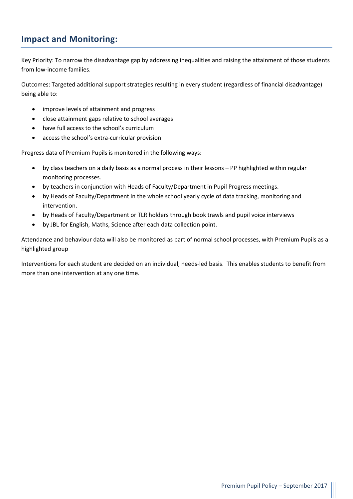## **Impact and Monitoring:**

Key Priority: To narrow the disadvantage gap by addressing inequalities and raising the attainment of those students from low-income families.

Outcomes: Targeted additional support strategies resulting in every student (regardless of financial disadvantage) being able to:

- improve levels of attainment and progress
- close attainment gaps relative to school averages
- have full access to the school's curriculum
- access the school's extra-curricular provision

Progress data of Premium Pupils is monitored in the following ways:

- by class teachers on a daily basis as a normal process in their lessons PP highlighted within regular monitoring processes.
- by teachers in conjunction with Heads of Faculty/Department in Pupil Progress meetings.
- by Heads of Faculty/Department in the whole school yearly cycle of data tracking, monitoring and intervention.
- by Heads of Faculty/Department or TLR holders through book trawls and pupil voice interviews
- by JBL for English, Maths, Science after each data collection point.

Attendance and behaviour data will also be monitored as part of normal school processes, with Premium Pupils as a highlighted group

Interventions for each student are decided on an individual, needs-led basis. This enables students to benefit from more than one intervention at any one time.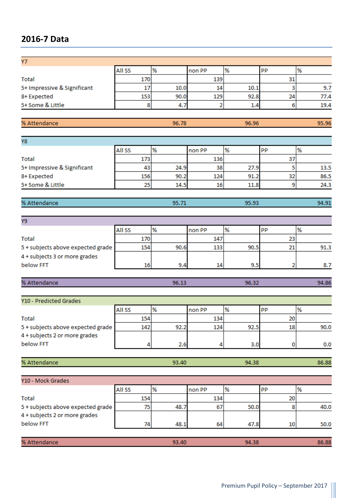## **2016-7 Data**

| <b>All SS</b> | %    | non PP     | <b>PP</b>               |                    |
|---------------|------|------------|-------------------------|--------------------|
|               |      |            |                         |                    |
|               | 10.0 |            |                         | 9.7                |
|               | 90.0 |            |                         | 77.4               |
| я             |      |            |                         | 19.4               |
|               |      | 170<br>153 | 139<br>14<br>129<br>1.4 | 10.1<br>92.8<br>24 |

| % Attendance | 96.78 | 96.96 | C<br>- 10 |
|--------------|-------|-------|-----------|
|              |       |       |           |

| Y8                          |        |      |        |      |           |      |  |
|-----------------------------|--------|------|--------|------|-----------|------|--|
|                             | All SS | %    | non PP |      | <b>PP</b> |      |  |
| Total                       | 173    |      | 136    |      |           |      |  |
| 5+ Impressive & Significant | 43     | 24.9 | 38     | 27.9 |           | 13.5 |  |
| 8+Expected                  | 156    | 90.2 | 124    | 91.2 | 32        | 86.5 |  |
| 5+ Some & Little            | 25     | 14.5 | 16     | 11.8 |           | 24.3 |  |

| % Attendance | -- - | os oo |  |
|--------------|------|-------|--|
|              |      |       |  |

| Υ9                                |        |      |        |      |           |      |
|-----------------------------------|--------|------|--------|------|-----------|------|
|                                   | All SS | ℅    | non PP |      | <b>PP</b> |      |
| Total                             | 170    |      |        |      |           |      |
| 5 + subjects above expected grade | 154    | 90.6 | 133    | 90.5 |           | 91.3 |
| 4 + subjects 3 or more grades     |        |      |        |      |           |      |
| below FFT                         | 16     | 9.4  | 14     | 9.5  |           | 8.7  |

| % Att | ----- | <b>Contract</b> | $\sim$ |
|-------|-------|-----------------|--------|
|       |       |                 |        |

| Y10 - Predicted Grades            |               |      |        |               |    |      |
|-----------------------------------|---------------|------|--------|---------------|----|------|
|                                   | <b>All SS</b> | %    | non PP | $\frac{9}{6}$ | PP |      |
| Total                             | 154           |      | 134    |               | 20 |      |
| 5 + subjects above expected grade | 142           | 92.2 | 124    | 92.5          | 18 | 90.0 |
| 4 + subjects 2 or more grades     |               |      |        |               |    |      |
| below FFT                         |               | 2.6  |        | 3.0           |    | 0.0  |

| % At | 93. AN  | 04.20 | 88 |
|------|---------|-------|----|
|      | <i></i> | -- 20 | 36 |
|      |         |       |    |

| Y10 - Mock Grades                 |               |       |        |       |                 |       |
|-----------------------------------|---------------|-------|--------|-------|-----------------|-------|
|                                   | <b>All SS</b> | %     | non PP |       | PP              |       |
| Total                             | 154           |       | 134    |       | 20              |       |
| 5 + subjects above expected grade | 75            | 48.7  | 67     | 50.0  |                 | 40.0  |
| 4 + subjects 2 or more grades     |               |       |        |       |                 |       |
| below FFT                         | 74            | 48.1  | 64     | 47.8  | 10 <sup>1</sup> | 50.0  |
|                                   |               |       |        |       |                 |       |
| % Attendance                      |               | 93.40 |        | 94.38 |                 | 86.88 |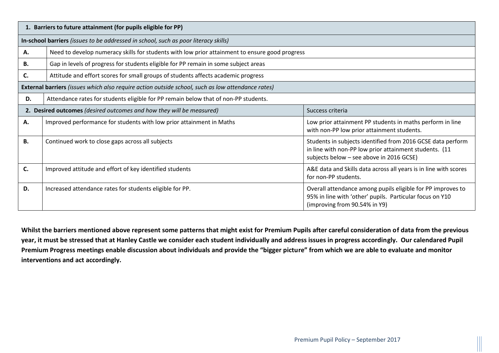| 1. Barriers to future attainment (for pupils eligible for PP)                            |                                                                                                   |                                                                                                                                                                   |  |  |  |
|------------------------------------------------------------------------------------------|---------------------------------------------------------------------------------------------------|-------------------------------------------------------------------------------------------------------------------------------------------------------------------|--|--|--|
|                                                                                          | In-school barriers (issues to be addressed in school, such as poor literacy skills)               |                                                                                                                                                                   |  |  |  |
| А.                                                                                       | Need to develop numeracy skills for students with low prior attainment to ensure good progress    |                                                                                                                                                                   |  |  |  |
| В.                                                                                       | Gap in levels of progress for students eligible for PP remain in some subject areas               |                                                                                                                                                                   |  |  |  |
| C.                                                                                       | Attitude and effort scores for small groups of students affects academic progress                 |                                                                                                                                                                   |  |  |  |
|                                                                                          | External barriers (issues which also require action outside school, such as low attendance rates) |                                                                                                                                                                   |  |  |  |
| D.                                                                                       | Attendance rates for students eligible for PP remain below that of non-PP students.               |                                                                                                                                                                   |  |  |  |
| 2. Desired outcomes (desired outcomes and how they will be measured)<br>Success criteria |                                                                                                   |                                                                                                                                                                   |  |  |  |
| А.                                                                                       | Improved performance for students with low prior attainment in Maths                              | Low prior attainment PP students in maths perform in line<br>with non-PP low prior attainment students.                                                           |  |  |  |
| <b>B.</b>                                                                                | Continued work to close gaps across all subjects                                                  | Students in subjects identified from 2016 GCSE data perform<br>in line with non-PP low prior attainment students. (11<br>subjects below - see above in 2016 GCSE) |  |  |  |
| C.                                                                                       | Improved attitude and effort of key identified students                                           | A&E data and Skills data across all years is in line with scores<br>for non-PP students.                                                                          |  |  |  |
| D.                                                                                       | Increased attendance rates for students eligible for PP.                                          | Overall attendance among pupils eligible for PP improves to<br>95% in line with 'other' pupils. Particular focus on Y10<br>(improving from 90.54% in Y9)          |  |  |  |

**Whilst the barriers mentioned above represent some patterns that might exist for Premium Pupils after careful consideration of data from the previous year, it must be stressed that at Hanley Castle we consider each student individually and address issues in progress accordingly. Our calendared Pupil Premium Progress meetings enable discussion about individuals and provide the "bigger picture" from which we are able to evaluate and monitor interventions and act accordingly.**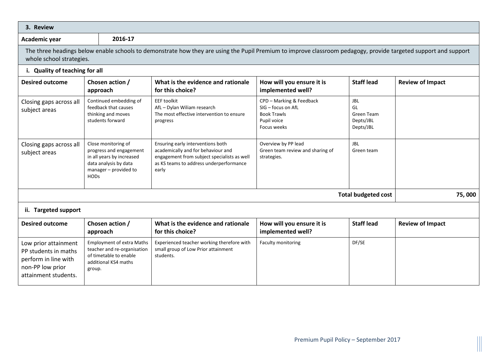| 3. Review                                                                                                        |                                                                                                                                              |                                                                                                                                                                            |                                                                                                    |                                                                 |                         |  |
|------------------------------------------------------------------------------------------------------------------|----------------------------------------------------------------------------------------------------------------------------------------------|----------------------------------------------------------------------------------------------------------------------------------------------------------------------------|----------------------------------------------------------------------------------------------------|-----------------------------------------------------------------|-------------------------|--|
| Academic year                                                                                                    | 2016-17                                                                                                                                      |                                                                                                                                                                            |                                                                                                    |                                                                 |                         |  |
| whole school strategies.                                                                                         |                                                                                                                                              | The three headings below enable schools to demonstrate how they are using the Pupil Premium to improve classroom pedagogy, provide targeted support and support            |                                                                                                    |                                                                 |                         |  |
| i. Quality of teaching for all                                                                                   |                                                                                                                                              |                                                                                                                                                                            |                                                                                                    |                                                                 |                         |  |
| Chosen action /<br><b>Desired outcome</b><br>approach                                                            |                                                                                                                                              | What is the evidence and rationale<br>for this choice?                                                                                                                     | How will you ensure it is<br>implemented well?                                                     | <b>Staff lead</b>                                               | <b>Review of Impact</b> |  |
| Closing gaps across all<br>subject areas                                                                         | Continued embedding of<br>feedback that causes<br>thinking and moves<br>students forward                                                     | <b>EEF toolkit</b><br>AfL - Dylan Wiliam research<br>The most effective intervention to ensure<br>progress                                                                 | CPD - Marking & Feedback<br>SIG - focus on AfL<br><b>Book Trawls</b><br>Pupil voice<br>Focus weeks | <b>JBL</b><br>GL<br><b>Green Team</b><br>Depts/JBL<br>Depts/JBL |                         |  |
| Closing gaps across all<br>subject areas                                                                         | Close monitoring of<br>progress and engagement<br>in all years by increased<br>data analysis by data<br>manager - provided to<br><b>HODs</b> | Ensuring early interventions both<br>academically and for behaviour and<br>engagement from subject specialists as well<br>as KS teams to address underperformance<br>early | Overview by PP lead<br>Green team review and sharing of<br>strategies.                             | <b>JBL</b><br>Green team                                        |                         |  |
|                                                                                                                  |                                                                                                                                              |                                                                                                                                                                            |                                                                                                    | <b>Total budgeted cost</b>                                      | 75,000                  |  |
| ii. Targeted support                                                                                             |                                                                                                                                              |                                                                                                                                                                            |                                                                                                    |                                                                 |                         |  |
| <b>Desired outcome</b>                                                                                           | Chosen action /<br>approach                                                                                                                  | What is the evidence and rationale<br>for this choice?                                                                                                                     | How will you ensure it is<br>implemented well?                                                     | <b>Staff lead</b>                                               | <b>Review of Impact</b> |  |
| Low prior attainment<br>PP students in maths<br>perform in line with<br>non-PP low prior<br>attainment students. | <b>Employment of extra Maths</b><br>teacher and re-organisation<br>of timetable to enable<br>additional KS4 maths<br>group.                  | Experienced teacher working therefore with<br>small group of Low Prior attainment<br>students.                                                                             | Faculty monitoring                                                                                 | DF/SE                                                           |                         |  |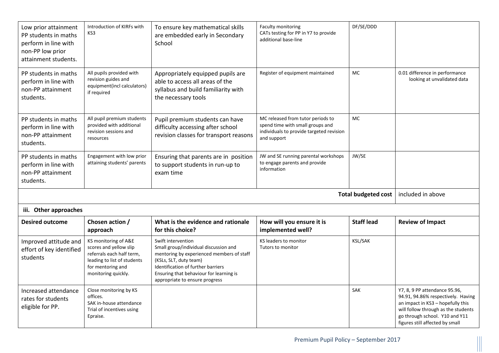| Low prior attainment<br>PP students in maths<br>perform in line with<br>non-PP low prior<br>attainment students. | Introduction of KIRFs with<br>KS3                                                                                                                      | To ensure key mathematical skills<br>are embedded early in Secondary<br>School                                                                                                                                                                        | <b>Faculty monitoring</b><br>CATs testing for PP in Y7 to provide<br>additional base-line                                        |                   |                                                                                                                                                                                                                      |
|------------------------------------------------------------------------------------------------------------------|--------------------------------------------------------------------------------------------------------------------------------------------------------|-------------------------------------------------------------------------------------------------------------------------------------------------------------------------------------------------------------------------------------------------------|----------------------------------------------------------------------------------------------------------------------------------|-------------------|----------------------------------------------------------------------------------------------------------------------------------------------------------------------------------------------------------------------|
| PP students in maths<br>perform in line with<br>non-PP attainment<br>students.                                   | All pupils provided with<br>revision guides and<br>equipment(incl calculators)<br>if required                                                          | Appropriately equipped pupils are<br>able to access all areas of the<br>syllabus and build familiarity with<br>the necessary tools                                                                                                                    | Register of equipment maintained                                                                                                 | MC                | 0.01 difference in performance<br>looking at unvalidated data                                                                                                                                                        |
| PP students in maths<br>perform in line with<br>non-PP attainment<br>students.                                   | All pupil premium students<br>provided with additional<br>revision sessions and<br>resources                                                           | Pupil premium students can have<br>difficulty accessing after school<br>revision classes for transport reasons                                                                                                                                        | MC released from tutor periods to<br>spend time with small groups and<br>individuals to provide targeted revision<br>and support | <b>MC</b>         |                                                                                                                                                                                                                      |
| PP students in maths<br>perform in line with<br>non-PP attainment<br>students.                                   | Engagement with low prior<br>attaining students' parents                                                                                               | Ensuring that parents are in position<br>to support students in run-up to<br>exam time                                                                                                                                                                | JW and SE running parental workshops<br>to engage parents and provide<br>information                                             | JW/SE             |                                                                                                                                                                                                                      |
| <b>Total budgeted cost</b>                                                                                       |                                                                                                                                                        |                                                                                                                                                                                                                                                       |                                                                                                                                  |                   | included in above                                                                                                                                                                                                    |
| iii. Other approaches                                                                                            |                                                                                                                                                        |                                                                                                                                                                                                                                                       |                                                                                                                                  |                   |                                                                                                                                                                                                                      |
| <b>Desired outcome</b>                                                                                           | Chosen action /<br>approach                                                                                                                            | What is the evidence and rationale<br>for this choice?                                                                                                                                                                                                | How will you ensure it is<br>implemented well?                                                                                   | <b>Staff lead</b> | <b>Review of Impact</b>                                                                                                                                                                                              |
| Improved attitude and<br>effort of key identified<br>students                                                    | KS monitoring of A&E<br>scores and yellow slip<br>referrals each half term,<br>leading to list of students<br>for mentoring and<br>monitoring quickly. | Swift intervention<br>Small group/individual discussion and<br>mentoring by experienced members of staff<br>(KSLs, SLT, duty team)<br>Identification of further barriers<br>Ensuring that behaviour for learning is<br>appropriate to ensure progress | KS leaders to monitor<br><b>KSL/SAK</b><br>Tutors to monitor                                                                     |                   |                                                                                                                                                                                                                      |
| Increased attendance<br>rates for students<br>eligible for PP.                                                   | Close monitoring by KS<br>offices.<br>SAK in-house attendance<br>Trial of incentives using<br>Epraise.                                                 |                                                                                                                                                                                                                                                       |                                                                                                                                  | <b>SAK</b>        | Y7, 8, 9 PP attendance 95.96,<br>94.91, 94.86% respectively. Having<br>an impact in KS3 - hopefully this<br>will follow through as the students<br>go through school. Y10 and Y11<br>figures still affected by small |